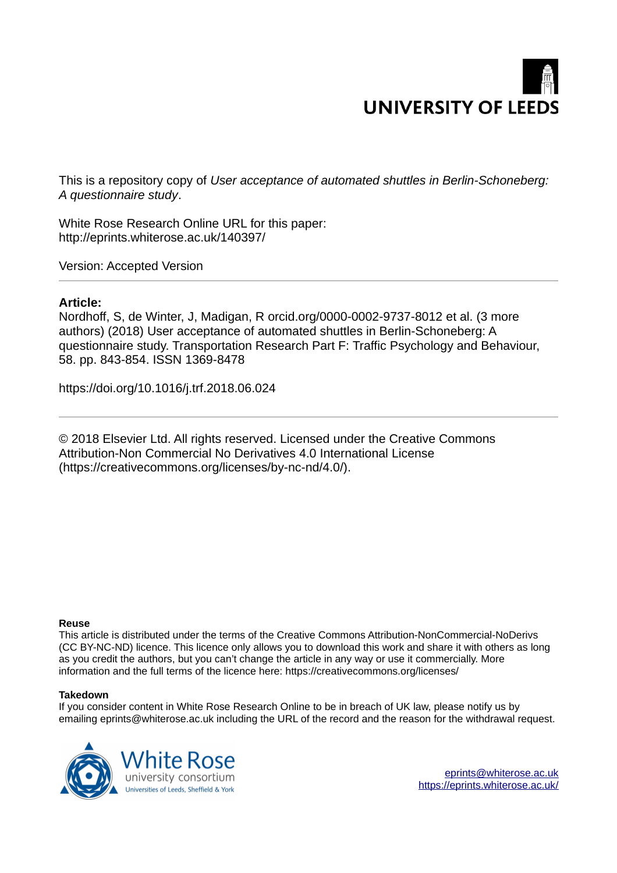# **UNIVERSITY OF LEEDS**

This is a repository copy of *User acceptance of automated shuttles in Berlin-Schoneberg: A questionnaire study*.

White Rose Research Online URL for this paper: http://eprints.whiterose.ac.uk/140397/

Version: Accepted Version

# **Article:**

Nordhoff, S, de Winter, J, Madigan, R orcid.org/0000-0002-9737-8012 et al. (3 more authors) (2018) User acceptance of automated shuttles in Berlin-Schoneberg: A questionnaire study. Transportation Research Part F: Traffic Psychology and Behaviour, 58. pp. 843-854. ISSN 1369-8478

https://doi.org/10.1016/j.trf.2018.06.024

© 2018 Elsevier Ltd. All rights reserved. Licensed under the Creative Commons Attribution-Non Commercial No Derivatives 4.0 International License (https://creativecommons.org/licenses/by-nc-nd/4.0/).

# **Reuse**

This article is distributed under the terms of the Creative Commons Attribution-NonCommercial-NoDerivs (CC BY-NC-ND) licence. This licence only allows you to download this work and share it with others as long as you credit the authors, but you can't change the article in any way or use it commercially. More information and the full terms of the licence here: https://creativecommons.org/licenses/

# **Takedown**

If you consider content in White Rose Research Online to be in breach of UK law, please notify us by emailing eprints@whiterose.ac.uk including the URL of the record and the reason for the withdrawal request.



[eprints@whiterose.ac.uk](mailto:eprints@whiterose.ac.uk) <https://eprints.whiterose.ac.uk/>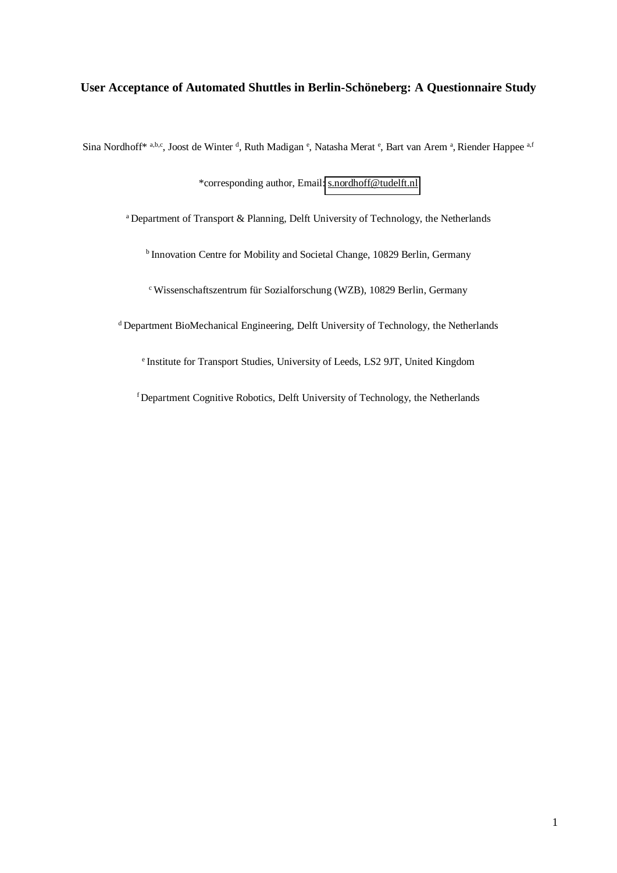# **User Acceptance of Automated Shuttles in Berlin-Schöneberg: A Questionnaire Study**

Sina Nordhoff\* a,b,c, Joost de Winter <sup>d</sup>, Ruth Madigan <sup>e</sup>, Natasha Merat <sup>e</sup>, Bart van Arem <sup>a</sup>, Riender Happee <sup>a,f</sup>

\*corresponding author, Email: [s.nordhoff@tudelft.nl](mailto:s.nordhoff@tudelft.nl) 

<sup>a</sup> Department of Transport & Planning, Delft University of Technology, the Netherlands

<sup>b</sup> Innovation Centre for Mobility and Societal Change, 10829 Berlin, Germany

<sup>c</sup>Wissenschaftszentrum für Sozialforschung (WZB), 10829 Berlin, Germany

<sup>d</sup> Department BioMechanical Engineering, Delft University of Technology, the Netherlands

<sup>e</sup> Institute for Transport Studies, University of Leeds, LS2 9JT, United Kingdom

f Department Cognitive Robotics, Delft University of Technology, the Netherlands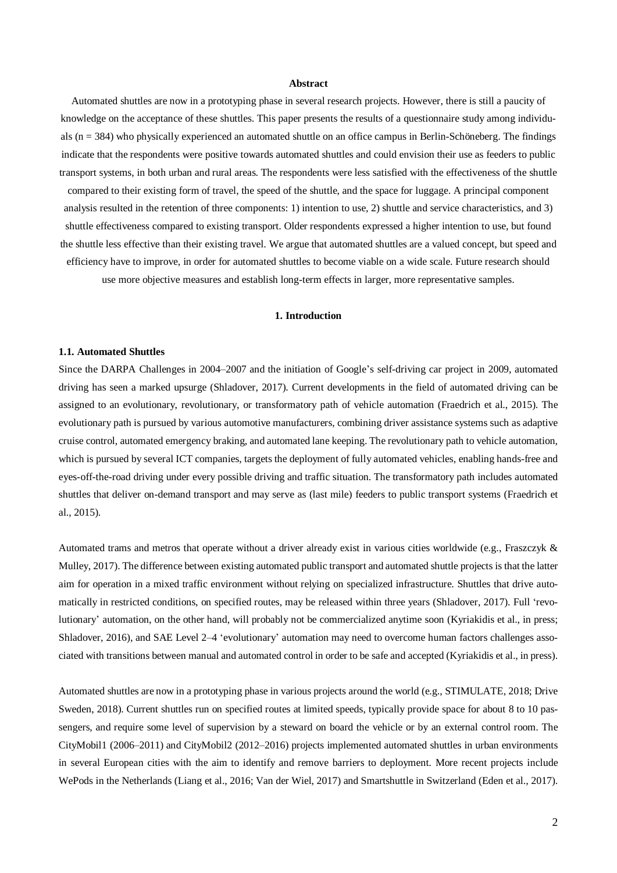#### **Abstract**

Automated shuttles are now in a prototyping phase in several research projects. However, there is still a paucity of knowledge on the acceptance of these shuttles. This paper presents the results of a questionnaire study among individuals  $(n = 384)$  who physically experienced an automated shuttle on an office campus in Berlin-Schöneberg. The findings indicate that the respondents were positive towards automated shuttles and could envision their use as feeders to public transport systems, in both urban and rural areas. The respondents were less satisfied with the effectiveness of the shuttle compared to their existing form of travel, the speed of the shuttle, and the space for luggage. A principal component analysis resulted in the retention of three components: 1) intention to use, 2) shuttle and service characteristics, and 3) shuttle effectiveness compared to existing transport. Older respondents expressed a higher intention to use, but found the shuttle less effective than their existing travel. We argue that automated shuttles are a valued concept, but speed and efficiency have to improve, in order for automated shuttles to become viable on a wide scale. Future research should use more objective measures and establish long-term effects in larger, more representative samples.

#### **1. Introduction**

#### **1.1. Automated Shuttles**

Since the DARPA Challenges in 2004–2007 and the initiation of Google's self-driving car project in 2009, automated driving has seen a marked upsurge (Shladover, 2017). Current developments in the field of automated driving can be assigned to an evolutionary, revolutionary, or transformatory path of vehicle automation (Fraedrich et al., 2015). The evolutionary path is pursued by various automotive manufacturers, combining driver assistance systems such as adaptive cruise control, automated emergency braking, and automated lane keeping. The revolutionary path to vehicle automation, which is pursued by several ICT companies, targets the deployment of fully automated vehicles, enabling hands-free and eyes-off-the-road driving under every possible driving and traffic situation. The transformatory path includes automated shuttles that deliver on-demand transport and may serve as (last mile) feeders to public transport systems (Fraedrich et al., 2015).

Automated trams and metros that operate without a driver already exist in various cities worldwide (e.g., Fraszczyk & Mulley, 2017). The difference between existing automated public transport and automated shuttle projects is that the latter aim for operation in a mixed traffic environment without relying on specialized infrastructure. Shuttles that drive automatically in restricted conditions, on specified routes, may be released within three years (Shladover, 2017). Full 'revolutionary' automation, on the other hand, will probably not be commercialized anytime soon (Kyriakidis et al., in press; Shladover, 2016), and SAE Level 2–4 'evolutionary' automation may need to overcome human factors challenges associated with transitions between manual and automated control in order to be safe and accepted (Kyriakidis et al., in press).

Automated shuttles are now in a prototyping phase in various projects around the world (e.g., STIMULATE, 2018; Drive Sweden, 2018). Current shuttles run on specified routes at limited speeds, typically provide space for about 8 to 10 passengers, and require some level of supervision by a steward on board the vehicle or by an external control room. The CityMobil1 (2006–2011) and CityMobil2 (2012–2016) projects implemented automated shuttles in urban environments in several European cities with the aim to identify and remove barriers to deployment. More recent projects include WePods in the Netherlands (Liang et al., 2016; Van der Wiel, 2017) and Smartshuttle in Switzerland (Eden et al., 2017).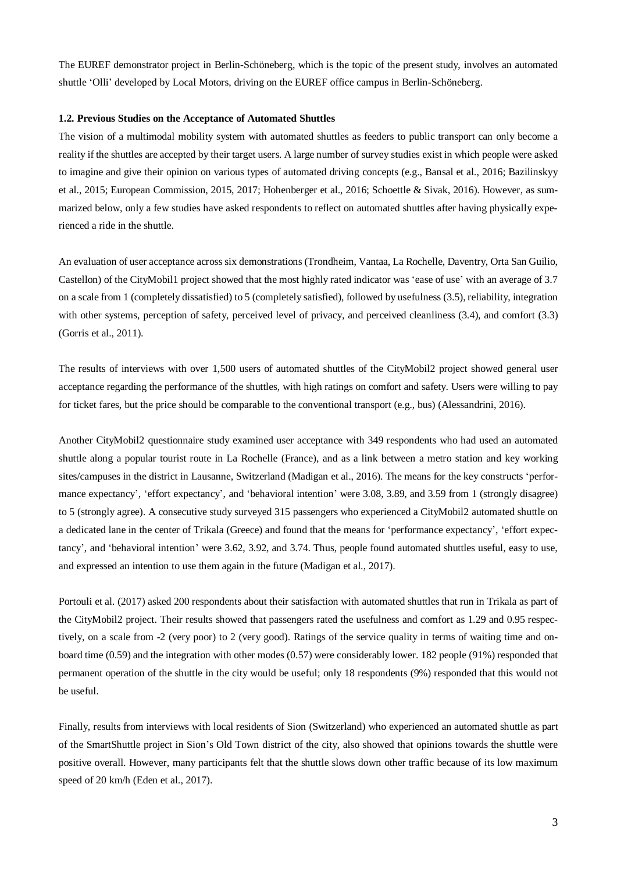The EUREF demonstrator project in Berlin-Schöneberg, which is the topic of the present study, involves an automated shuttle 'Olli' developed by Local Motors, driving on the EUREF office campus in Berlin-Schöneberg.

#### **1.2. Previous Studies on the Acceptance of Automated Shuttles**

The vision of a multimodal mobility system with automated shuttles as feeders to public transport can only become a reality if the shuttles are accepted by their target users. A large number of survey studies exist in which people were asked to imagine and give their opinion on various types of automated driving concepts (e.g., Bansal et al., 2016; Bazilinskyy et al., 2015; European Commission, 2015, 2017; Hohenberger et al., 2016; Schoettle & Sivak, 2016). However, as summarized below, only a few studies have asked respondents to reflect on automated shuttles after having physically experienced a ride in the shuttle.

An evaluation of user acceptance across six demonstrations (Trondheim, Vantaa, La Rochelle, Daventry, Orta San Guilio, Castellon) of the CityMobil1 project showed that the most highly rated indicator was 'ease of use' with an average of 3.7 on a scale from 1 (completely dissatisfied) to 5 (completely satisfied), followed by usefulness (3.5), reliability, integration with other systems, perception of safety, perceived level of privacy, and perceived cleanliness (3.4), and comfort (3.3) (Gorris et al., 2011).

The results of interviews with over 1,500 users of automated shuttles of the CityMobil2 project showed general user acceptance regarding the performance of the shuttles, with high ratings on comfort and safety. Users were willing to pay for ticket fares, but the price should be comparable to the conventional transport (e.g., bus) (Alessandrini, 2016).

Another CityMobil2 questionnaire study examined user acceptance with 349 respondents who had used an automated shuttle along a popular tourist route in La Rochelle (France), and as a link between a metro station and key working sites/campuses in the district in Lausanne, Switzerland (Madigan et al., 2016). The means for the key constructs 'performance expectancy', 'effort expectancy', and 'behavioral intention' were 3.08, 3.89, and 3.59 from 1 (strongly disagree) to 5 (strongly agree). A consecutive study surveyed 315 passengers who experienced a CityMobil2 automated shuttle on a dedicated lane in the center of Trikala (Greece) and found that the means for 'performance expectancy', 'effort expectancy', and 'behavioral intention' were 3.62, 3.92, and 3.74. Thus, people found automated shuttles useful, easy to use, and expressed an intention to use them again in the future (Madigan et al., 2017).

Portouli et al. (2017) asked 200 respondents about their satisfaction with automated shuttles that run in Trikala as part of the CityMobil2 project. Their results showed that passengers rated the usefulness and comfort as 1.29 and 0.95 respectively, on a scale from -2 (very poor) to 2 (very good). Ratings of the service quality in terms of waiting time and onboard time (0.59) and the integration with other modes (0.57) were considerably lower. 182 people (91%) responded that permanent operation of the shuttle in the city would be useful; only 18 respondents (9%) responded that this would not be useful.

Finally, results from interviews with local residents of Sion (Switzerland) who experienced an automated shuttle as part of the SmartShuttle project in Sion's Old Town district of the city, also showed that opinions towards the shuttle were positive overall. However, many participants felt that the shuttle slows down other traffic because of its low maximum speed of 20 km/h (Eden et al., 2017).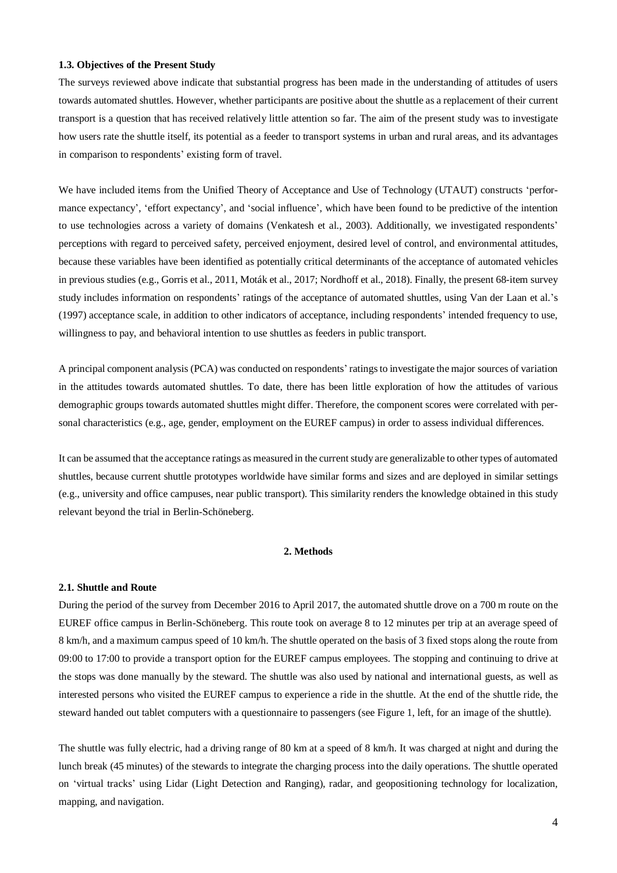#### **1.3. Objectives of the Present Study**

The surveys reviewed above indicate that substantial progress has been made in the understanding of attitudes of users towards automated shuttles. However, whether participants are positive about the shuttle as a replacement of their current transport is a question that has received relatively little attention so far. The aim of the present study was to investigate how users rate the shuttle itself, its potential as a feeder to transport systems in urban and rural areas, and its advantages in comparison to respondents' existing form of travel.

We have included items from the Unified Theory of Acceptance and Use of Technology (UTAUT) constructs 'performance expectancy', 'effort expectancy', and 'social influence', which have been found to be predictive of the intention to use technologies across a variety of domains (Venkatesh et al., 2003). Additionally, we investigated respondents' perceptions with regard to perceived safety, perceived enjoyment, desired level of control, and environmental attitudes, because these variables have been identified as potentially critical determinants of the acceptance of automated vehicles in previous studies (e.g., Gorris et al., 2011, Moták et al., 2017; Nordhoff et al., 2018). Finally, the present 68-item survey study includes information on respondents' ratings of the acceptance of automated shuttles, using Van der Laan et al.'s (1997) acceptance scale, in addition to other indicators of acceptance, including respondents' intended frequency to use, willingness to pay, and behavioral intention to use shuttles as feeders in public transport.

A principal component analysis (PCA) was conducted on respondents' ratings to investigate the major sources of variation in the attitudes towards automated shuttles. To date, there has been little exploration of how the attitudes of various demographic groups towards automated shuttles might differ. Therefore, the component scores were correlated with personal characteristics (e.g., age, gender, employment on the EUREF campus) in order to assess individual differences.

It can be assumed that the acceptance ratings as measured in the current study are generalizable to other types of automated shuttles, because current shuttle prototypes worldwide have similar forms and sizes and are deployed in similar settings (e.g., university and office campuses, near public transport). This similarity renders the knowledge obtained in this study relevant beyond the trial in Berlin-Schöneberg.

## **2. Methods**

#### **2.1. Shuttle and Route**

During the period of the survey from December 2016 to April 2017, the automated shuttle drove on a 700 m route on the EUREF office campus in Berlin-Schöneberg. This route took on average 8 to 12 minutes per trip at an average speed of 8 km/h, and a maximum campus speed of 10 km/h. The shuttle operated on the basis of 3 fixed stops along the route from 09:00 to 17:00 to provide a transport option for the EUREF campus employees. The stopping and continuing to drive at the stops was done manually by the steward. The shuttle was also used by national and international guests, as well as interested persons who visited the EUREF campus to experience a ride in the shuttle. At the end of the shuttle ride, the steward handed out tablet computers with a questionnaire to passengers (see Figure 1, left, for an image of the shuttle).

The shuttle was fully electric, had a driving range of 80 km at a speed of 8 km/h. It was charged at night and during the lunch break (45 minutes) of the stewards to integrate the charging process into the daily operations. The shuttle operated on 'virtual tracks' using Lidar (Light Detection and Ranging), radar, and geopositioning technology for localization, mapping, and navigation.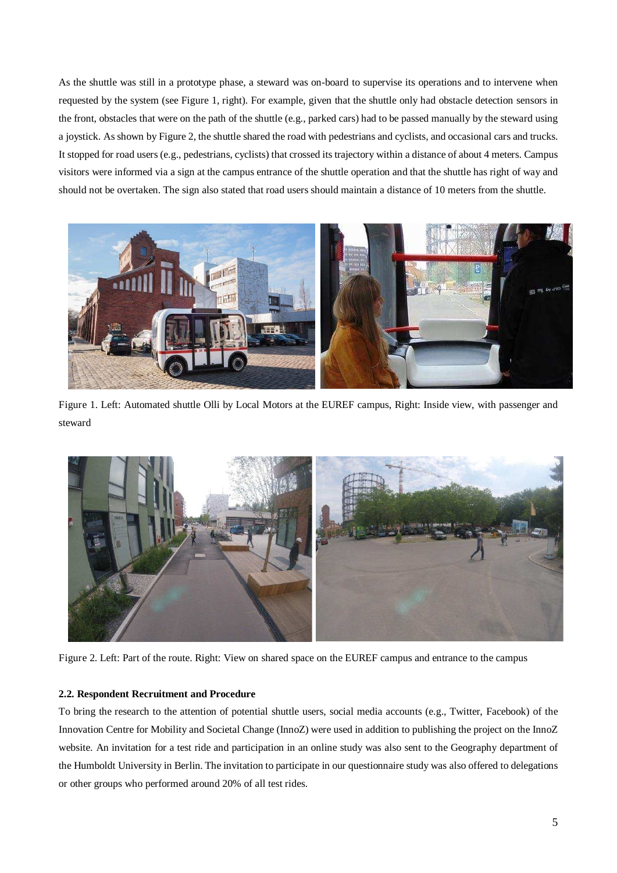As the shuttle was still in a prototype phase, a steward was on-board to supervise its operations and to intervene when requested by the system (see Figure 1, right). For example, given that the shuttle only had obstacle detection sensors in the front, obstacles that were on the path of the shuttle (e.g., parked cars) had to be passed manually by the steward using a joystick. As shown by Figure 2, the shuttle shared the road with pedestrians and cyclists, and occasional cars and trucks. It stopped for road users (e.g., pedestrians, cyclists) that crossed its trajectory within a distance of about 4 meters. Campus visitors were informed via a sign at the campus entrance of the shuttle operation and that the shuttle has right of way and should not be overtaken. The sign also stated that road users should maintain a distance of 10 meters from the shuttle.



Figure 1. Left: Automated shuttle Olli by Local Motors at the EUREF campus, Right: Inside view, with passenger and steward



Figure 2. Left: Part of the route. Right: View on shared space on the EUREF campus and entrance to the campus

## **2.2. Respondent Recruitment and Procedure**

To bring the research to the attention of potential shuttle users, social media accounts (e.g., Twitter, Facebook) of the Innovation Centre for Mobility and Societal Change (InnoZ) were used in addition to publishing the project on the InnoZ website. An invitation for a test ride and participation in an online study was also sent to the Geography department of the Humboldt University in Berlin. The invitation to participate in our questionnaire study was also offered to delegations or other groups who performed around 20% of all test rides.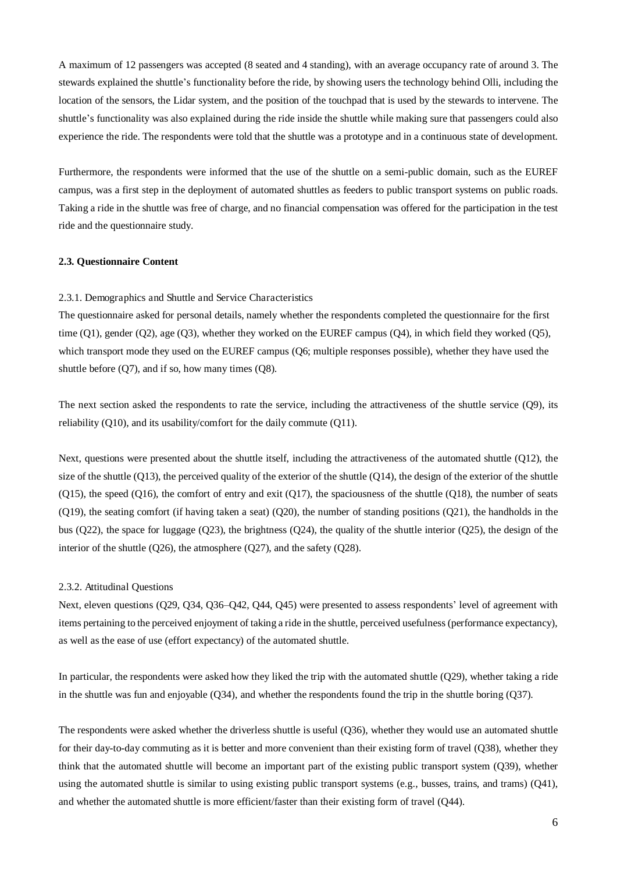A maximum of 12 passengers was accepted (8 seated and 4 standing), with an average occupancy rate of around 3. The stewards explained the shuttle's functionality before the ride, by showing users the technology behind Olli, including the location of the sensors, the Lidar system, and the position of the touchpad that is used by the stewards to intervene. The shuttle's functionality was also explained during the ride inside the shuttle while making sure that passengers could also experience the ride. The respondents were told that the shuttle was a prototype and in a continuous state of development.

Furthermore, the respondents were informed that the use of the shuttle on a semi-public domain, such as the EUREF campus, was a first step in the deployment of automated shuttles as feeders to public transport systems on public roads. Taking a ride in the shuttle was free of charge, and no financial compensation was offered for the participation in the test ride and the questionnaire study.

#### **2.3. Questionnaire Content**

#### 2.3.1. Demographics and Shuttle and Service Characteristics

The questionnaire asked for personal details, namely whether the respondents completed the questionnaire for the first time (Q1), gender (Q2), age (Q3), whether they worked on the EUREF campus (Q4), in which field they worked (Q5), which transport mode they used on the EUREF campus (Q6; multiple responses possible), whether they have used the shuttle before (Q7), and if so, how many times (Q8).

The next section asked the respondents to rate the service, including the attractiveness of the shuttle service (Q9), its reliability (Q10), and its usability/comfort for the daily commute (Q11).

Next, questions were presented about the shuttle itself, including the attractiveness of the automated shuttle (Q12), the size of the shuttle (Q13), the perceived quality of the exterior of the shuttle (Q14), the design of the exterior of the shuttle  $(O15)$ , the speed  $(O16)$ , the comfort of entry and exit  $(O17)$ , the spaciousness of the shuttle  $(O18)$ , the number of seats  $(O19)$ , the seating comfort (if having taken a seat)  $(O20)$ , the number of standing positions  $(O21)$ , the handholds in the bus (O22), the space for luggage (O23), the brightness (O24), the quality of the shuttle interior (O25), the design of the interior of the shuttle (Q26), the atmosphere (Q27), and the safety (Q28).

#### 2.3.2. Attitudinal Questions

Next, eleven questions (Q29, Q34, Q36–Q42, Q44, Q45) were presented to assess respondents' level of agreement with items pertaining to the perceived enjoyment of taking a ride in the shuttle, perceived usefulness (performance expectancy), as well as the ease of use (effort expectancy) of the automated shuttle.

In particular, the respondents were asked how they liked the trip with the automated shuttle (Q29), whether taking a ride in the shuttle was fun and enjoyable ( $Q34$ ), and whether the respondents found the trip in the shuttle boring  $(Q37)$ .

The respondents were asked whether the driverless shuttle is useful (Q36), whether they would use an automated shuttle for their day-to-day commuting as it is better and more convenient than their existing form of travel (Q38), whether they think that the automated shuttle will become an important part of the existing public transport system (Q39), whether using the automated shuttle is similar to using existing public transport systems (e.g., busses, trains, and trams) (Q41), and whether the automated shuttle is more efficient/faster than their existing form of travel (Q44).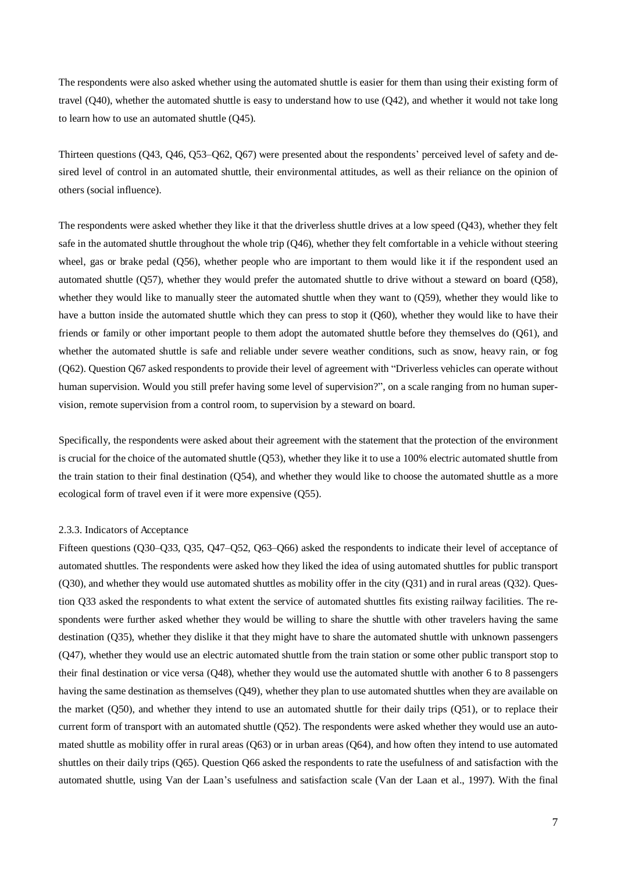The respondents were also asked whether using the automated shuttle is easier for them than using their existing form of travel (Q40), whether the automated shuttle is easy to understand how to use (Q42), and whether it would not take long to learn how to use an automated shuttle (Q45).

Thirteen questions (Q43, Q46, Q53–Q62, Q67) were presented about the respondents' perceived level of safety and desired level of control in an automated shuttle, their environmental attitudes, as well as their reliance on the opinion of others (social influence).

The respondents were asked whether they like it that the driverless shuttle drives at a low speed (Q43), whether they felt safe in the automated shuttle throughout the whole trip (Q46), whether they felt comfortable in a vehicle without steering wheel, gas or brake pedal (Q56), whether people who are important to them would like it if the respondent used an automated shuttle (Q57), whether they would prefer the automated shuttle to drive without a steward on board (Q58), whether they would like to manually steer the automated shuttle when they want to (Q59), whether they would like to have a button inside the automated shuttle which they can press to stop it (Q60), whether they would like to have their friends or family or other important people to them adopt the automated shuttle before they themselves do (Q61), and whether the automated shuttle is safe and reliable under severe weather conditions, such as snow, heavy rain, or fog (Q62). Question Q67 asked respondents to provide their level of agreement with "Driverless vehicles can operate without human supervision. Would you still prefer having some level of supervision?", on a scale ranging from no human supervision, remote supervision from a control room, to supervision by a steward on board.

Specifically, the respondents were asked about their agreement with the statement that the protection of the environment is crucial for the choice of the automated shuttle (Q53), whether they like it to use a 100% electric automated shuttle from the train station to their final destination (Q54), and whether they would like to choose the automated shuttle as a more ecological form of travel even if it were more expensive (Q55).

#### 2.3.3. Indicators of Acceptance

Fifteen questions (Q30–Q33, Q35, Q47–Q52, Q63–Q66) asked the respondents to indicate their level of acceptance of automated shuttles. The respondents were asked how they liked the idea of using automated shuttles for public transport  $(Q30)$ , and whether they would use automated shuttles as mobility offer in the city  $(Q31)$  and in rural areas  $(Q32)$ . Question Q33 asked the respondents to what extent the service of automated shuttles fits existing railway facilities. The respondents were further asked whether they would be willing to share the shuttle with other travelers having the same destination (Q35), whether they dislike it that they might have to share the automated shuttle with unknown passengers (Q47), whether they would use an electric automated shuttle from the train station or some other public transport stop to their final destination or vice versa (Q48), whether they would use the automated shuttle with another 6 to 8 passengers having the same destination as themselves (Q49), whether they plan to use automated shuttles when they are available on the market (Q50), and whether they intend to use an automated shuttle for their daily trips (Q51), or to replace their current form of transport with an automated shuttle (Q52). The respondents were asked whether they would use an automated shuttle as mobility offer in rural areas (Q63) or in urban areas (Q64), and how often they intend to use automated shuttles on their daily trips (Q65). Question Q66 asked the respondents to rate the usefulness of and satisfaction with the automated shuttle, using Van der Laan's usefulness and satisfaction scale (Van der Laan et al., 1997). With the final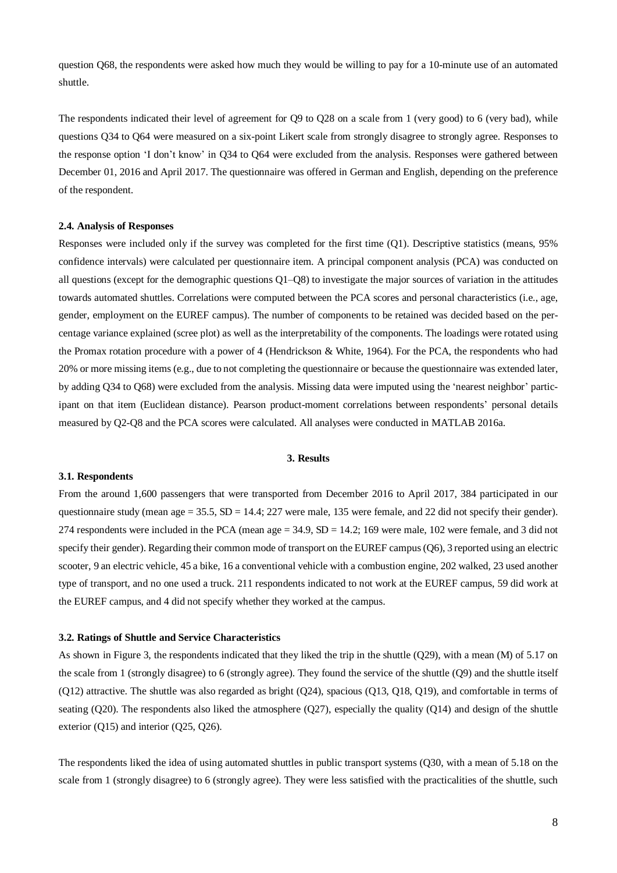question Q68, the respondents were asked how much they would be willing to pay for a 10-minute use of an automated shuttle.

The respondents indicated their level of agreement for Q9 to Q28 on a scale from 1 (very good) to 6 (very bad), while questions Q34 to Q64 were measured on a six-point Likert scale from strongly disagree to strongly agree. Responses to the response option 'I don't know' in Q34 to Q64 were excluded from the analysis. Responses were gathered between December 01, 2016 and April 2017. The questionnaire was offered in German and English, depending on the preference of the respondent.

#### **2.4. Analysis of Responses**

Responses were included only if the survey was completed for the first time (Q1). Descriptive statistics (means, 95% confidence intervals) were calculated per questionnaire item. A principal component analysis (PCA) was conducted on all questions (except for the demographic questions Q1–Q8) to investigate the major sources of variation in the attitudes towards automated shuttles. Correlations were computed between the PCA scores and personal characteristics (i.e., age, gender, employment on the EUREF campus). The number of components to be retained was decided based on the percentage variance explained (scree plot) as well as the interpretability of the components. The loadings were rotated using the Promax rotation procedure with a power of 4 (Hendrickson & White, 1964). For the PCA, the respondents who had 20% or more missing items (e.g., due to not completing the questionnaire or because the questionnaire was extended later, by adding Q34 to Q68) were excluded from the analysis. Missing data were imputed using the 'nearest neighbor' participant on that item (Euclidean distance). Pearson product-moment correlations between respondents' personal details measured by Q2-Q8 and the PCA scores were calculated. All analyses were conducted in MATLAB 2016a.

#### **3. Results**

#### **3.1. Respondents**

From the around 1,600 passengers that were transported from December 2016 to April 2017, 384 participated in our questionnaire study (mean age =  $35.5$ , SD =  $14.4$ ; 227 were male, 135 were female, and 22 did not specify their gender). 274 respondents were included in the PCA (mean age  $= 34.9$ , SD  $= 14.2$ ; 169 were male, 102 were female, and 3 did not specify their gender). Regarding their common mode of transport on the EUREF campus (Q6), 3 reported using an electric scooter, 9 an electric vehicle, 45 a bike, 16 a conventional vehicle with a combustion engine, 202 walked, 23 used another type of transport, and no one used a truck. 211 respondents indicated to not work at the EUREF campus, 59 did work at the EUREF campus, and 4 did not specify whether they worked at the campus.

#### **3.2. Ratings of Shuttle and Service Characteristics**

As shown in Figure 3, the respondents indicated that they liked the trip in the shuttle (Q29), with a mean (M) of 5.17 on the scale from 1 (strongly disagree) to 6 (strongly agree). They found the service of the shuttle (Q9) and the shuttle itself (Q12) attractive. The shuttle was also regarded as bright (Q24), spacious (Q13, Q18, Q19), and comfortable in terms of seating (Q20). The respondents also liked the atmosphere (Q27), especially the quality (Q14) and design of the shuttle exterior (Q15) and interior (Q25, Q26).

The respondents liked the idea of using automated shuttles in public transport systems (Q30, with a mean of 5.18 on the scale from 1 (strongly disagree) to 6 (strongly agree). They were less satisfied with the practicalities of the shuttle, such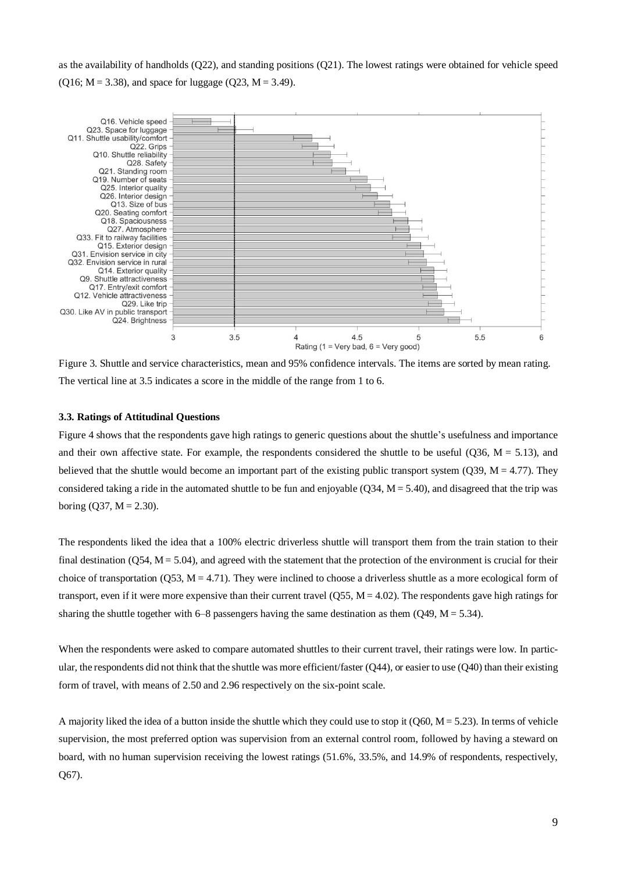as the availability of handholds (Q22), and standing positions (Q21). The lowest ratings were obtained for vehicle speed  $(Q16; M = 3.38)$ , and space for luggage  $(Q23, M = 3.49)$ .



Figure 3. Shuttle and service characteristics, mean and 95% confidence intervals. The items are sorted by mean rating. The vertical line at 3.5 indicates a score in the middle of the range from 1 to 6.

## **3.3. Ratings of Attitudinal Questions**

Figure 4 shows that the respondents gave high ratings to generic questions about the shuttle's usefulness and importance and their own affective state. For example, the respondents considered the shuttle to be useful ( $Q36$ ,  $M = 5.13$ ), and believed that the shuttle would become an important part of the existing public transport system ( $Q39$ ,  $M = 4.77$ ). They considered taking a ride in the automated shuttle to be fun and enjoyable  $(Q34, M = 5.40)$ , and disagreed that the trip was boring  $(O37, M = 2.30)$ .

The respondents liked the idea that a 100% electric driverless shuttle will transport them from the train station to their final destination (Q54,  $M = 5.04$ ), and agreed with the statement that the protection of the environment is crucial for their choice of transportation  $(Q53, M = 4.71)$ . They were inclined to choose a driverless shuttle as a more ecological form of transport, even if it were more expensive than their current travel  $(Q55, M = 4.02)$ . The respondents gave high ratings for sharing the shuttle together with 6–8 passengers having the same destination as them  $(Q49, M = 5.34)$ .

When the respondents were asked to compare automated shuttles to their current travel, their ratings were low. In particular, the respondents did not think that the shuttle was more efficient/faster (Q44), or easier to use (Q40) than their existing form of travel, with means of 2.50 and 2.96 respectively on the six-point scale.

A majority liked the idea of a button inside the shuttle which they could use to stop it ( $\sim$  060, M = 5.23). In terms of vehicle supervision, the most preferred option was supervision from an external control room, followed by having a steward on board, with no human supervision receiving the lowest ratings (51.6%, 33.5%, and 14.9% of respondents, respectively, Q67).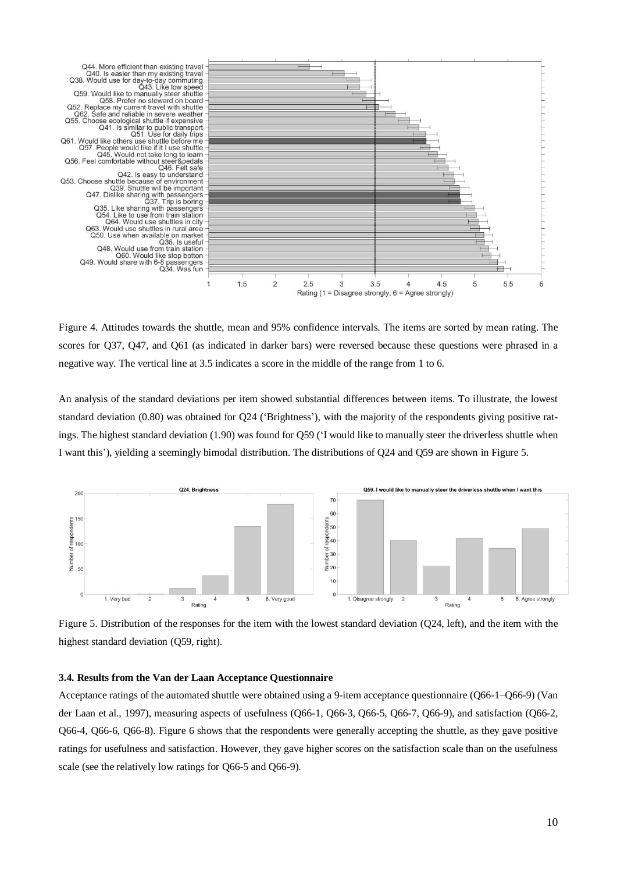

Figure 4. Attitudes towards the shuttle, mean and 95% confidence intervals. The items are sorted by mean rating. The scores for Q37, Q47, and Q61 (as indicated in darker bars) were reversed because these questions were phrased in a negative way. The vertical line at 3.5 indicates a score in the middle of the range from 1 to 6.

An analysis of the standard deviations per item showed substantial differences between items. To illustrate, the lowest standard deviation (0.80) was obtained for Q24 ('Brightness'), with the majority of the respondents giving positive ratings. The highest standard deviation (1.90) was found for Q59 ('I would like to manually steer the driverless shuttle when I want this'), yielding a seemingly bimodal distribution. The distributions of Q24 and Q59 are shown in Figure 5.



Figure 5. Distribution of the responses for the item with the lowest standard deviation (Q24, left), and the item with the highest standard deviation (Q59, right).

#### **3.4. Results from the Van der Laan Acceptance Questionnaire**

Acceptance ratings of the automated shuttle were obtained using a 9-item acceptance questionnaire (Q66-1–Q66-9) (Van der Laan et al., 1997), measuring aspects of usefulness (Q66-1, Q66-3, Q66-5, Q66-7, Q66-9), and satisfaction (Q66-2, Q66-4, Q66-6, Q66-8). Figure 6 shows that the respondents were generally accepting the shuttle, as they gave positive ratings for usefulness and satisfaction. However, they gave higher scores on the satisfaction scale than on the usefulness scale (see the relatively low ratings for Q66-5 and Q66-9).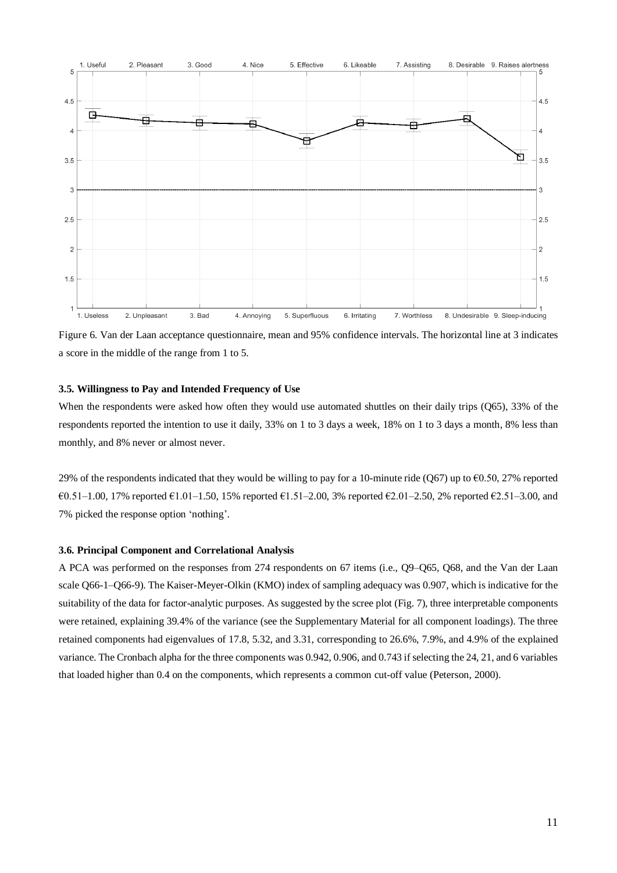

Figure 6. Van der Laan acceptance questionnaire, mean and 95% confidence intervals. The horizontal line at 3 indicates a score in the middle of the range from 1 to 5.

#### **3.5. Willingness to Pay and Intended Frequency of Use**

When the respondents were asked how often they would use automated shuttles on their daily trips (Q65), 33% of the respondents reported the intention to use it daily, 33% on 1 to 3 days a week, 18% on 1 to 3 days a month, 8% less than monthly, and 8% never or almost never.

29% of the respondents indicated that they would be willing to pay for a 10-minute ride (Q67) up to  $\epsilon$ 0.50, 27% reported €0.51–1.00, 17% reported €1.01–1.50, 15% reported €1.51–2.00, 3% reported €2.01–2.50, 2% reported €2.51–3.00, and 7% picked the response option 'nothing'.

#### **3.6. Principal Component and Correlational Analysis**

A PCA was performed on the responses from 274 respondents on 67 items (i.e., Q9–Q65, Q68, and the Van der Laan scale Q66-1–Q66-9). The Kaiser-Meyer-Olkin (KMO) index of sampling adequacy was 0.907, which is indicative for the suitability of the data for factor-analytic purposes. As suggested by the scree plot (Fig. 7), three interpretable components were retained, explaining 39.4% of the variance (see the Supplementary Material for all component loadings). The three retained components had eigenvalues of 17.8, 5.32, and 3.31, corresponding to 26.6%, 7.9%, and 4.9% of the explained variance. The Cronbach alpha for the three components was 0.942, 0.906, and 0.743 if selecting the 24, 21, and 6 variables that loaded higher than 0.4 on the components, which represents a common cut-off value (Peterson, 2000).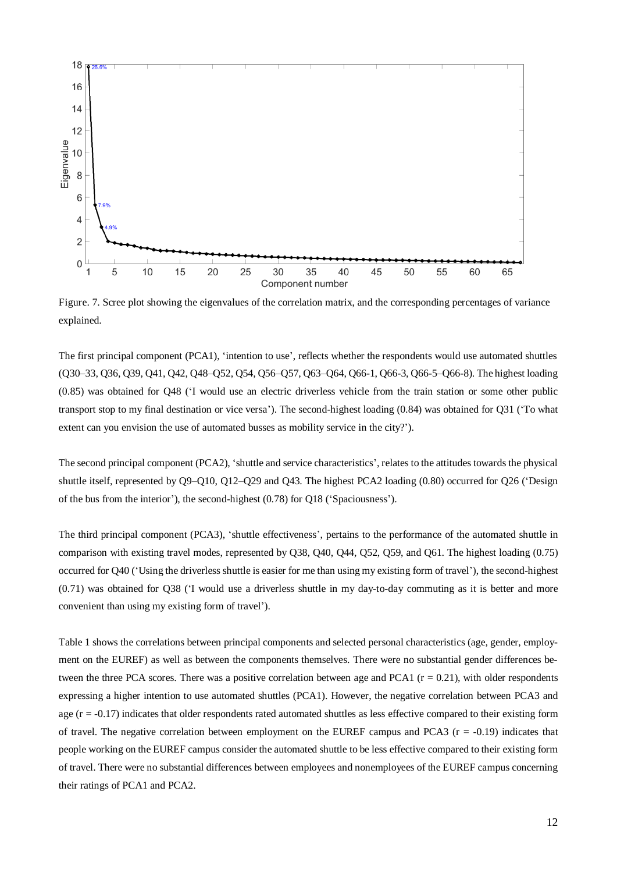

Figure. 7. Scree plot showing the eigenvalues of the correlation matrix, and the corresponding percentages of variance explained.

The first principal component (PCA1), 'intention to use', reflects whether the respondents would use automated shuttles (Q30–33, Q36, Q39, Q41, Q42, Q48–Q52, Q54, Q56–Q57, Q63–Q64, Q66-1, Q66-3, Q66-5–Q66-8). The highest loading (0.85) was obtained for Q48 ('I would use an electric driverless vehicle from the train station or some other public transport stop to my final destination or vice versa'). The second-highest loading (0.84) was obtained for Q31 ('To what extent can you envision the use of automated busses as mobility service in the city?').

The second principal component (PCA2), 'shuttle and service characteristics', relates to the attitudes towards the physical shuttle itself, represented by Q9–Q10, Q12–Q29 and Q43. The highest PCA2 loading (0.80) occurred for Q26 ('Design of the bus from the interior'), the second-highest (0.78) for Q18 ('Spaciousness').

The third principal component (PCA3), 'shuttle effectiveness', pertains to the performance of the automated shuttle in comparison with existing travel modes, represented by Q38, Q40, Q44, Q52, Q59, and Q61. The highest loading (0.75) occurred for Q40 ('Using the driverless shuttle is easier for me than using my existing form of travel'), the second-highest (0.71) was obtained for Q38 ('I would use a driverless shuttle in my day-to-day commuting as it is better and more convenient than using my existing form of travel').

Table 1 shows the correlations between principal components and selected personal characteristics (age, gender, employment on the EUREF) as well as between the components themselves. There were no substantial gender differences between the three PCA scores. There was a positive correlation between age and PCA1 ( $r = 0.21$ ), with older respondents expressing a higher intention to use automated shuttles (PCA1). However, the negative correlation between PCA3 and age  $(r = -0.17)$  indicates that older respondents rated automated shuttles as less effective compared to their existing form of travel. The negative correlation between employment on the EUREF campus and PCA3 ( $r = -0.19$ ) indicates that people working on the EUREF campus consider the automated shuttle to be less effective compared to their existing form of travel. There were no substantial differences between employees and nonemployees of the EUREF campus concerning their ratings of PCA1 and PCA2.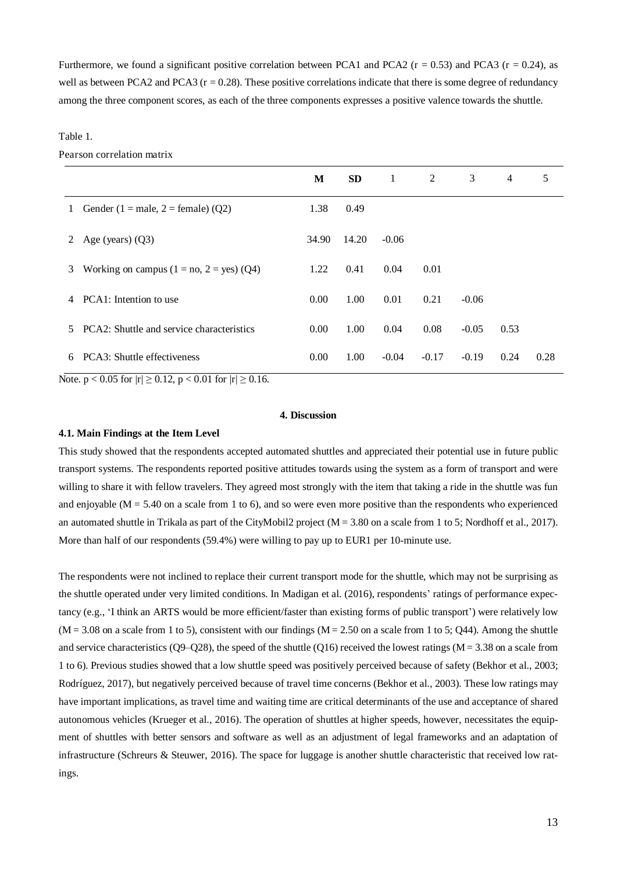Furthermore, we found a significant positive correlation between PCA1 and PCA2 ( $r = 0.53$ ) and PCA3 ( $r = 0.24$ ), as well as between PCA2 and PCA3 ( $r = 0.28$ ). These positive correlations indicate that there is some degree of redundancy among the three component scores, as each of the three components expresses a positive valence towards the shuttle.

#### Table 1.

Pearson correlation matrix

|    |                                            | M     | <b>SD</b> | 1       | 2       | 3       | $\overline{4}$ | 5    |
|----|--------------------------------------------|-------|-----------|---------|---------|---------|----------------|------|
| 1  | Gender (1 = male, 2 = female) (Q2)         | 1.38  | 0.49      |         |         |         |                |      |
| 2  | Age (years) $(Q3)$                         | 34.90 | 14.20     | $-0.06$ |         |         |                |      |
| 3  | Working on campus $(1 = no, 2 = yes)$ (Q4) | 1.22  | 0.41      | 0.04    | 0.01    |         |                |      |
| 4  | PCA1: Intention to use                     | 0.00  | 1.00      | 0.01    | 0.21    | $-0.06$ |                |      |
| 5. | PCA2: Shuttle and service characteristics  | 0.00  | 1.00      | 0.04    | 0.08    | $-0.05$ | 0.53           |      |
| 6  | PCA3: Shuttle effectiveness                | 0.00  | 1.00      | $-0.04$ | $-0.17$ | $-0.19$ | 0.24           | 0.28 |

Note.  $p < 0.05$  for  $|r| \ge 0.12$ ,  $p < 0.01$  for  $|r| \ge 0.16$ .

#### **4. Discussion**

#### **4.1. Main Findings at the Item Level**

This study showed that the respondents accepted automated shuttles and appreciated their potential use in future public transport systems. The respondents reported positive attitudes towards using the system as a form of transport and were willing to share it with fellow travelers. They agreed most strongly with the item that taking a ride in the shuttle was fun and enjoyable ( $M = 5.40$  on a scale from 1 to 6), and so were even more positive than the respondents who experienced an automated shuttle in Trikala as part of the CityMobil2 project ( $M = 3.80$  on a scale from 1 to 5; Nordhoff et al., 2017). More than half of our respondents (59.4%) were willing to pay up to EUR1 per 10-minute use.

The respondents were not inclined to replace their current transport mode for the shuttle, which may not be surprising as the shuttle operated under very limited conditions. In Madigan et al. (2016), respondents' ratings of performance expectancy (e.g., 'I think an ARTS would be more efficient/faster than existing forms of public transport') were relatively low  $(M = 3.08$  on a scale from 1 to 5), consistent with our findings  $(M = 2.50$  on a scale from 1 to 5; Q44). Among the shuttle and service characteristics (Q9–Q28), the speed of the shuttle (Q16) received the lowest ratings ( $M = 3.38$  on a scale from 1 to 6). Previous studies showed that a low shuttle speed was positively perceived because of safety (Bekhor et al., 2003; Rodríguez, 2017), but negatively perceived because of travel time concerns (Bekhor et al., 2003). These low ratings may have important implications, as travel time and waiting time are critical determinants of the use and acceptance of shared autonomous vehicles (Krueger et al., 2016). The operation of shuttles at higher speeds, however, necessitates the equipment of shuttles with better sensors and software as well as an adjustment of legal frameworks and an adaptation of infrastructure (Schreurs & Steuwer, 2016). The space for luggage is another shuttle characteristic that received low ratings.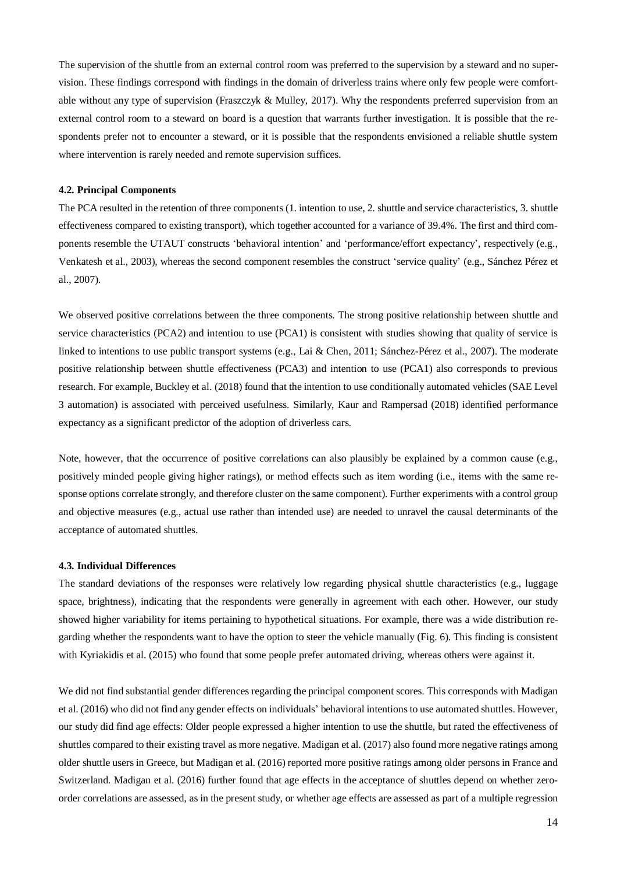The supervision of the shuttle from an external control room was preferred to the supervision by a steward and no supervision. These findings correspond with findings in the domain of driverless trains where only few people were comfortable without any type of supervision (Fraszczyk & Mulley, 2017). Why the respondents preferred supervision from an external control room to a steward on board is a question that warrants further investigation. It is possible that the respondents prefer not to encounter a steward, or it is possible that the respondents envisioned a reliable shuttle system where intervention is rarely needed and remote supervision suffices.

#### **4.2. Principal Components**

The PCA resulted in the retention of three components (1. intention to use, 2. shuttle and service characteristics, 3. shuttle effectiveness compared to existing transport), which together accounted for a variance of 39.4%. The first and third components resemble the UTAUT constructs 'behavioral intention' and 'performance/effort expectancy', respectively (e.g., Venkatesh et al., 2003), whereas the second component resembles the construct 'service quality' (e.g., Sánchez Pérez et al., 2007).

We observed positive correlations between the three components. The strong positive relationship between shuttle and service characteristics (PCA2) and intention to use (PCA1) is consistent with studies showing that quality of service is linked to intentions to use public transport systems (e.g., Lai & Chen, 2011; Sánchez-Pérez et al., 2007). The moderate positive relationship between shuttle effectiveness (PCA3) and intention to use (PCA1) also corresponds to previous research. For example, Buckley et al. (2018) found that the intention to use conditionally automated vehicles (SAE Level 3 automation) is associated with perceived usefulness. Similarly, Kaur and Rampersad (2018) identified performance expectancy as a significant predictor of the adoption of driverless cars.

Note, however, that the occurrence of positive correlations can also plausibly be explained by a common cause (e.g., positively minded people giving higher ratings), or method effects such as item wording (i.e., items with the same response options correlate strongly, and therefore cluster on the same component). Further experiments with a control group and objective measures (e.g., actual use rather than intended use) are needed to unravel the causal determinants of the acceptance of automated shuttles.

#### **4.3. Individual Differences**

The standard deviations of the responses were relatively low regarding physical shuttle characteristics (e.g., luggage space, brightness), indicating that the respondents were generally in agreement with each other. However, our study showed higher variability for items pertaining to hypothetical situations. For example, there was a wide distribution regarding whether the respondents want to have the option to steer the vehicle manually (Fig. 6). This finding is consistent with Kyriakidis et al. (2015) who found that some people prefer automated driving, whereas others were against it.

We did not find substantial gender differences regarding the principal component scores. This corresponds with Madigan et al. (2016) who did not find any gender effects on individuals' behavioral intentions to use automated shuttles. However, our study did find age effects: Older people expressed a higher intention to use the shuttle, but rated the effectiveness of shuttles compared to their existing travel as more negative. Madigan et al. (2017) also found more negative ratings among older shuttle users in Greece, but Madigan et al. (2016) reported more positive ratings among older persons in France and Switzerland. Madigan et al. (2016) further found that age effects in the acceptance of shuttles depend on whether zeroorder correlations are assessed, as in the present study, or whether age effects are assessed as part of a multiple regression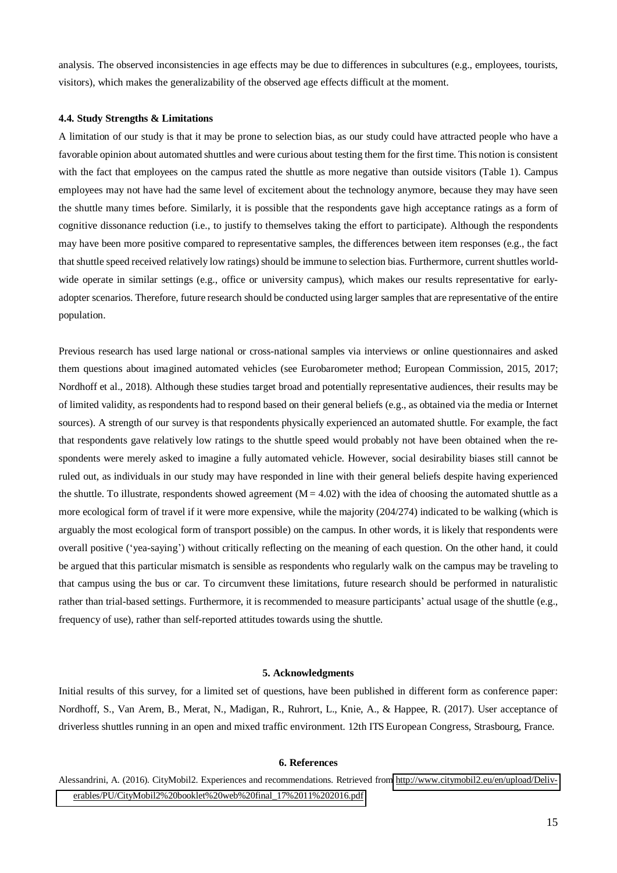analysis. The observed inconsistencies in age effects may be due to differences in subcultures (e.g., employees, tourists, visitors), which makes the generalizability of the observed age effects difficult at the moment.

#### **4.4. Study Strengths & Limitations**

A limitation of our study is that it may be prone to selection bias, as our study could have attracted people who have a favorable opinion about automated shuttles and were curious about testing them for the first time. This notion is consistent with the fact that employees on the campus rated the shuttle as more negative than outside visitors (Table 1). Campus employees may not have had the same level of excitement about the technology anymore, because they may have seen the shuttle many times before. Similarly, it is possible that the respondents gave high acceptance ratings as a form of cognitive dissonance reduction (i.e., to justify to themselves taking the effort to participate). Although the respondents may have been more positive compared to representative samples, the differences between item responses (e.g., the fact that shuttle speed received relatively low ratings) should be immune to selection bias. Furthermore, current shuttles worldwide operate in similar settings (e.g., office or university campus), which makes our results representative for earlyadopter scenarios. Therefore, future research should be conducted using larger samples that are representative of the entire population.

Previous research has used large national or cross-national samples via interviews or online questionnaires and asked them questions about imagined automated vehicles (see Eurobarometer method; European Commission, 2015, 2017; Nordhoff et al., 2018). Although these studies target broad and potentially representative audiences, their results may be of limited validity, as respondents had to respond based on their general beliefs (e.g., as obtained via the media or Internet sources). A strength of our survey is that respondents physically experienced an automated shuttle. For example, the fact that respondents gave relatively low ratings to the shuttle speed would probably not have been obtained when the respondents were merely asked to imagine a fully automated vehicle. However, social desirability biases still cannot be ruled out, as individuals in our study may have responded in line with their general beliefs despite having experienced the shuttle. To illustrate, respondents showed agreement  $(M = 4.02)$  with the idea of choosing the automated shuttle as a more ecological form of travel if it were more expensive, while the majority (204/274) indicated to be walking (which is arguably the most ecological form of transport possible) on the campus. In other words, it is likely that respondents were overall positive ('yea-saying') without critically reflecting on the meaning of each question. On the other hand, it could be argued that this particular mismatch is sensible as respondents who regularly walk on the campus may be traveling to that campus using the bus or car. To circumvent these limitations, future research should be performed in naturalistic rather than trial-based settings. Furthermore, it is recommended to measure participants' actual usage of the shuttle (e.g., frequency of use), rather than self-reported attitudes towards using the shuttle.

# **5. Acknowledgments**

Initial results of this survey, for a limited set of questions, have been published in different form as conference paper: Nordhoff, S., Van Arem, B., Merat, N., Madigan, R., Ruhrort, L., Knie, A., & Happee, R. (2017). User acceptance of driverless shuttles running in an open and mixed traffic environment. 12th ITS European Congress, Strasbourg, France.

#### **6. References**

Alessandrini, A. (2016). CityMobil2. Experiences and recommendations. Retrieved from [http://www.citymobil2.eu/en/upload/Deliv](http://www.citymobil2.eu/en/upload/deliverables/pu/citymobil2%2525252520booklet%2525252520web%2525252520final_17%252525252011%25252525202016.pdf)[erables/PU/CityMobil2%20booklet%20web%20final\\_17%2011%202016.pdf](http://www.citymobil2.eu/en/upload/deliverables/pu/citymobil2%2525252520booklet%2525252520web%2525252520final_17%252525252011%25252525202016.pdf)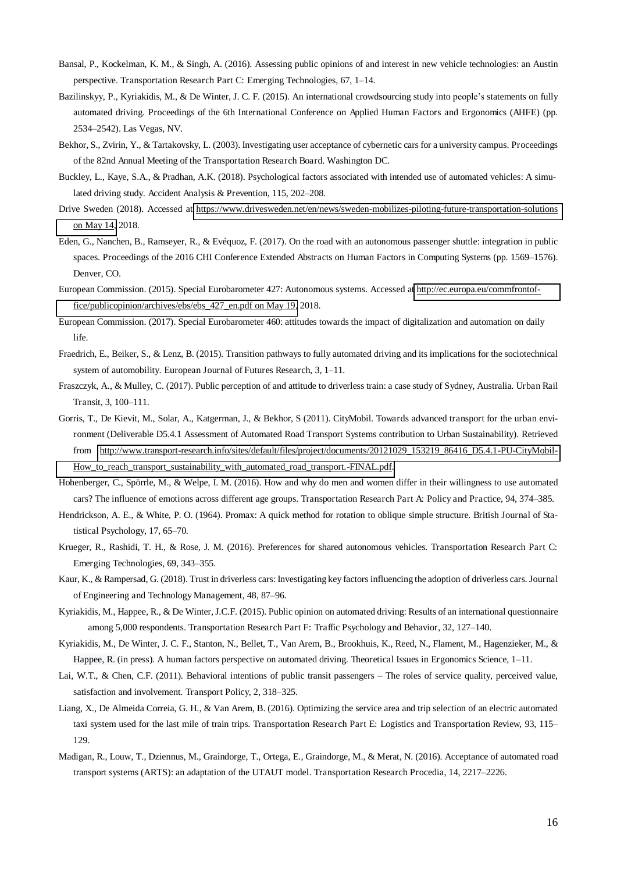- Bansal, P., Kockelman, K. M., & Singh, A. (2016). Assessing public opinions of and interest in new vehicle technologies: an Austin perspective. Transportation Research Part C: Emerging Technologies, 67, 1–14.
- Bazilinskyy, P., Kyriakidis, M., & De Winter, J. C. F. (2015). An international crowdsourcing study into people's statements on fully automated driving. Proceedings of the 6th International Conference on Applied Human Factors and Ergonomics (AHFE) (pp. 2534–2542). Las Vegas, NV.
- Bekhor, S., Zvirin, Y., & Tartakovsky, L. (2003). Investigating user acceptance of cybernetic cars for a university campus. Proceedings of the 82nd Annual Meeting of the Transportation Research Board. Washington DC.
- Buckley, L., Kaye, S.A., & Pradhan, A.K. (2018). Psychological factors associated with intended use of automated vehicles: A simulated driving study. Accident Analysis & Prevention, 115, 202–208.
- Drive Sweden (2018). Accessed at [https://www.drivesweden.net/en/news/sweden-mobilizes-piloting-future-transportation-solutions](https://www.drivesweden.net/en/news/sweden-mobilizes-piloting-future-transportation-solutions%25252520on%25252520may%2525252014)  [on May 14,](https://www.drivesweden.net/en/news/sweden-mobilizes-piloting-future-transportation-solutions%25252520on%25252520may%2525252014) 2018.
- Eden, G., Nanchen, B., Ramseyer, R., & Evéquoz, F. (2017). On the road with an autonomous passenger shuttle: integration in public spaces. Proceedings of the 2016 CHI Conference Extended Abstracts on Human Factors in Computing Systems (pp. 1569–1576). Denver, CO.
- European Commission. (2015). Special Eurobarometer 427: Autonomous systems. Accessed at [http://ec.europa.eu/commfrontof](http://ec.europa.eu/commfrontoffice/publicopinion/archives/ebs/ebs_427_en.pdf%25252520on%25252520may%2525252019)[fice/publicopinion/archives/ebs/ebs\\_427\\_en.pdf on May 19,](http://ec.europa.eu/commfrontoffice/publicopinion/archives/ebs/ebs_427_en.pdf%25252520on%25252520may%2525252019) 2018.
- European Commission. (2017). Special Eurobarometer 460: attitudes towards the impact of digitalization and automation on daily life.
- Fraedrich, E., Beiker, S., & Lenz, B. (2015). Transition pathways to fully automated driving and its implications for the sociotechnical system of automobility. European Journal of Futures Research, 3, 1–11.
- Fraszczyk, A., & Mulley, C. (2017). Public perception of and attitude to driverless train: a case study of Sydney, Australia. Urban Rail Transit, 3, 100–111.
- Gorris, T., De Kievit, M., Solar, A., Katgerman, J., & Bekhor, S (2011). CityMobil. Towards advanced transport for the urban environment (Deliverable D5.4.1 Assessment of Automated Road Transport Systems contribution to Urban Sustainability). Retrieved from [http://www.transport-research.info/sites/default/files/project/documents/20121029\\_153219\\_86416\\_D5.4.1-PU-CityMobil-](http://www.transport-research.info/sites/default/files/project/documents/20121029_153219_86416_D5.4.1-PU-CityMobil-How_to_reach_transport_sustainability_with_automated_road_transport.-FINAL.pdf)[How\\_to\\_reach\\_transport\\_sustainability\\_with\\_automated\\_road\\_transport.-FINAL.pdf.](http://www.transport-research.info/sites/default/files/project/documents/20121029_153219_86416_D5.4.1-PU-CityMobil-How_to_reach_transport_sustainability_with_automated_road_transport.-FINAL.pdf)
- Hohenberger, C., Spörrle, M., & Welpe, I. M. (2016). How and why do men and women differ in their willingness to use automated cars? The influence of emotions across different age groups. Transportation Research Part A: Policy and Practice, 94, 374–385.
- Hendrickson, A. E., & White, P. O. (1964). Promax: A quick method for rotation to oblique simple structure. British Journal of Statistical Psychology, 17, 65–70.
- Krueger, R., Rashidi, T. H., & Rose, J. M. (2016). Preferences for shared autonomous vehicles. Transportation Research Part C: Emerging Technologies, 69, 343–355.
- Kaur, K., & Rampersad, G. (2018). Trust in driverless cars: Investigating key factors influencing the adoption of driverless cars. Journal of Engineering and Technology Management, 48, 87–96.
- Kyriakidis, M., Happee, R., & De Winter, J.C.F. (2015). Public opinion on automated driving: Results of an international questionnaire among 5,000 respondents. Transportation Research Part F: Traffic Psychology and Behavior, 32, 127–140.
- Kyriakidis, M., De Winter, J. C. F., Stanton, N., Bellet, T., Van Arem, B., Brookhuis, K., Reed, N., Flament, M., Hagenzieker, M., & Happee, R. (in press). A human factors perspective on automated driving. Theoretical Issues in Ergonomics Science, 1–11.
- Lai, W.T., & Chen, C.F. (2011). Behavioral intentions of public transit passengers The roles of service quality, perceived value, satisfaction and involvement. Transport Policy, 2, 318–325.
- Liang, X., De Almeida Correia, G. H., & Van Arem, B. (2016). Optimizing the service area and trip selection of an electric automated taxi system used for the last mile of train trips. Transportation Research Part E: Logistics and Transportation Review, 93, 115– 129.
- Madigan, R., Louw, T., Dziennus, M., Graindorge, T., Ortega, E., Graindorge, M., & Merat, N. (2016). Acceptance of automated road transport systems (ARTS): an adaptation of the UTAUT model. Transportation Research Procedia, 14, 2217–2226.